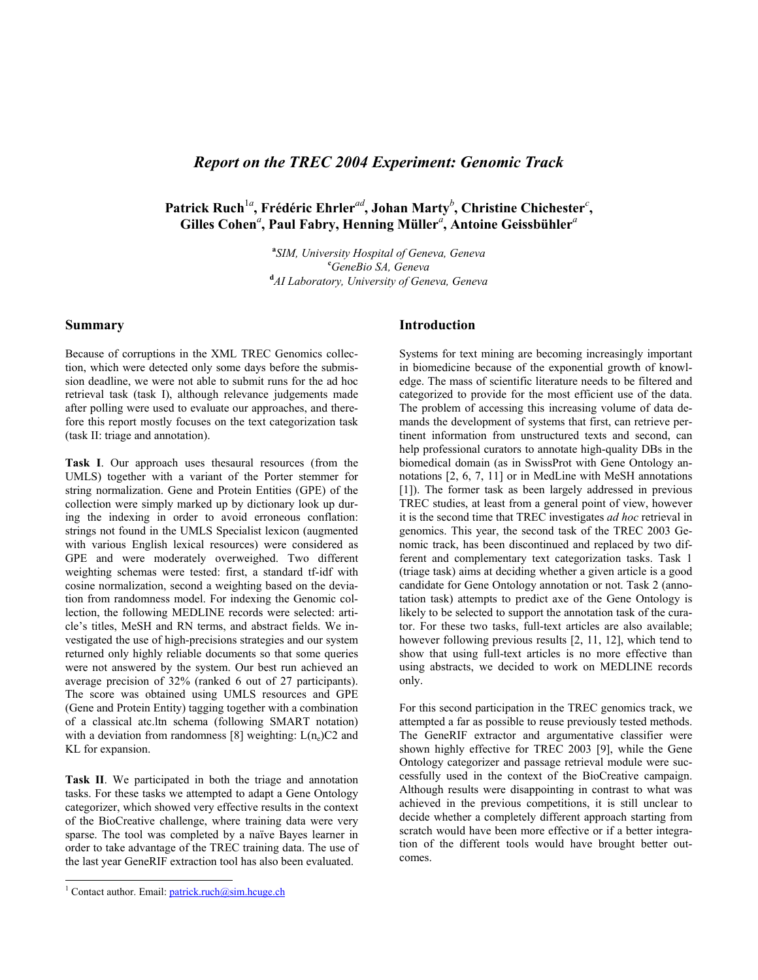# *Report on the TREC 2004 Experiment: Genomic Track*

# **Patrick Ruch**<sup>1</sup>*<sup>a</sup>* **, Frédéric Ehrler***ad***, Johan Marty***<sup>b</sup>* **, Christine Chichester***<sup>c</sup>* **, Gilles Cohen***<sup>a</sup>* **, Paul Fabry, Henning Müller***<sup>a</sup>* **, Antoine Geissbühler***<sup>a</sup>*

**a** *SIM, University Hospital of Geneva, Geneva* **c** *GeneBio SA, Geneva* **d** *AI Laboratory, University of Geneva, Geneva*

## **Summary**

Because of corruptions in the XML TREC Genomics collection, which were detected only some days before the submission deadline, we were not able to submit runs for the ad hoc retrieval task (task I), although relevance judgements made after polling were used to evaluate our approaches, and therefore this report mostly focuses on the text categorization task (task II: triage and annotation).

**Task I**. Our approach uses thesaural resources (from the UMLS) together with a variant of the Porter stemmer for string normalization. Gene and Protein Entities (GPE) of the collection were simply marked up by dictionary look up during the indexing in order to avoid erroneous conflation: strings not found in the UMLS Specialist lexicon (augmented with various English lexical resources) were considered as GPE and were moderately overweighed. Two different weighting schemas were tested: first, a standard tf-idf with cosine normalization, second a weighting based on the deviation from randomness model. For indexing the Genomic collection, the following MEDLINE records were selected: article's titles, MeSH and RN terms, and abstract fields. We investigated the use of high-precisions strategies and our system returned only highly reliable documents so that some queries were not answered by the system. Our best run achieved an average precision of 32% (ranked 6 out of 27 participants). The score was obtained using UMLS resources and GPE (Gene and Protein Entity) tagging together with a combination of a classical atc.ltn schema (following SMART notation) with a deviation from randomness [8] weighting:  $L(n_e)C2$  and KL for expansion.

**Task II**. We participated in both the triage and annotation tasks. For these tasks we attempted to adapt a Gene Ontology categorizer, which showed very effective results in the context of the BioCreative challenge, where training data were very sparse. The tool was completed by a naïve Bayes learner in order to take advantage of the TREC training data. The use of the last year GeneRIF extraction tool has also been evaluated.

l

### **Introduction**

Systems for text mining are becoming increasingly important in biomedicine because of the exponential growth of knowledge. The mass of scientific literature needs to be filtered and categorized to provide for the most efficient use of the data. The problem of accessing this increasing volume of data demands the development of systems that first, can retrieve pertinent information from unstructured texts and second, can help professional curators to annotate high-quality DBs in the biomedical domain (as in SwissProt with Gene Ontology annotations [2, 6, 7, 11] or in MedLine with MeSH annotations [1]). The former task as been largely addressed in previous TREC studies, at least from a general point of view, however it is the second time that TREC investigates *ad hoc* retrieval in genomics. This year, the second task of the TREC 2003 Genomic track, has been discontinued and replaced by two different and complementary text categorization tasks. Task 1 (triage task) aims at deciding whether a given article is a good candidate for Gene Ontology annotation or not. Task 2 (annotation task) attempts to predict axe of the Gene Ontology is likely to be selected to support the annotation task of the curator. For these two tasks, full-text articles are also available; however following previous results [2, 11, 12], which tend to show that using full-text articles is no more effective than using abstracts, we decided to work on MEDLINE records only.

For this second participation in the TREC genomics track, we attempted a far as possible to reuse previously tested methods. The GeneRIF extractor and argumentative classifier were shown highly effective for TREC 2003 [9], while the Gene Ontology categorizer and passage retrieval module were successfully used in the context of the BioCreative campaign. Although results were disappointing in contrast to what was achieved in the previous competitions, it is still unclear to decide whether a completely different approach starting from scratch would have been more effective or if a better integration of the different tools would have brought better outcomes.

<sup>&</sup>lt;sup>1</sup> Contact author. Email: patrick.ruch@sim.hcuge.ch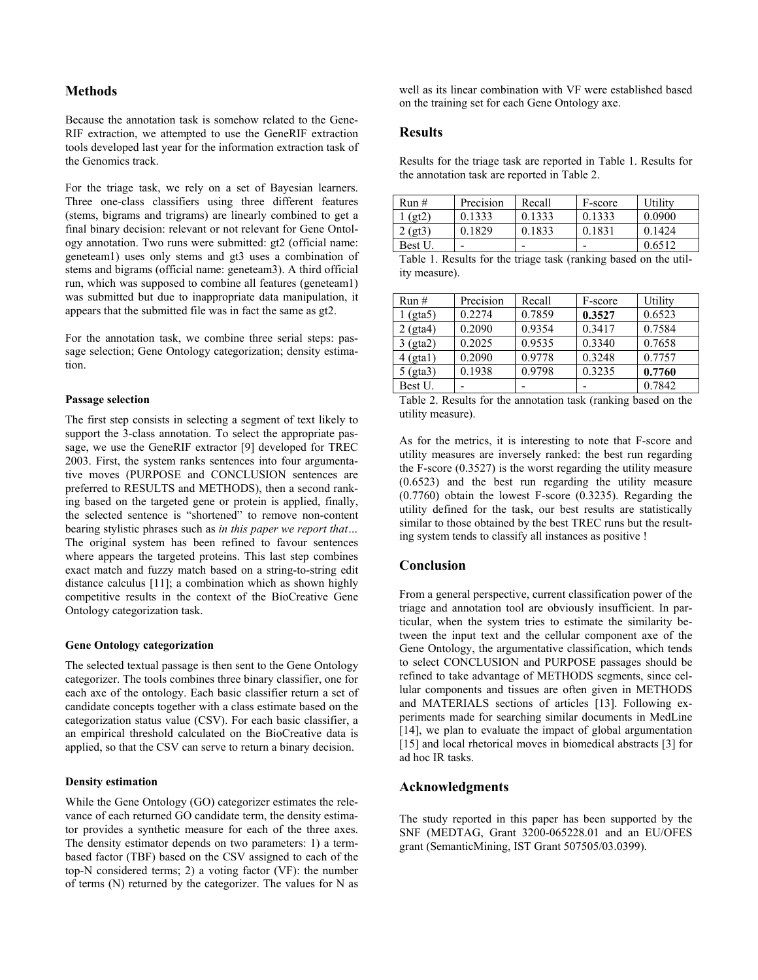## **Methods**

Because the annotation task is somehow related to the Gene-RIF extraction, we attempted to use the GeneRIF extraction tools developed last year for the information extraction task of the Genomics track.

For the triage task, we rely on a set of Bayesian learners. Three one-class classifiers using three different features (stems, bigrams and trigrams) are linearly combined to get a final binary decision: relevant or not relevant for Gene Ontology annotation. Two runs were submitted: gt2 (official name: geneteam1) uses only stems and gt3 uses a combination of stems and bigrams (official name: geneteam3). A third official run, which was supposed to combine all features (geneteam1) was submitted but due to inappropriate data manipulation, it appears that the submitted file was in fact the same as gt2.

For the annotation task, we combine three serial steps: passage selection; Gene Ontology categorization; density estimation.

#### **Passage selection**

The first step consists in selecting a segment of text likely to support the 3-class annotation. To select the appropriate passage, we use the GeneRIF extractor [9] developed for TREC 2003. First, the system ranks sentences into four argumentative moves (PURPOSE and CONCLUSION sentences are preferred to RESULTS and METHODS), then a second ranking based on the targeted gene or protein is applied, finally, the selected sentence is "shortened" to remove non-content bearing stylistic phrases such as *in this paper we report that…* The original system has been refined to favour sentences where appears the targeted proteins. This last step combines exact match and fuzzy match based on a string-to-string edit distance calculus [11]; a combination which as shown highly competitive results in the context of the BioCreative Gene Ontology categorization task.

#### **Gene Ontology categorization**

The selected textual passage is then sent to the Gene Ontology categorizer. The tools combines three binary classifier, one for each axe of the ontology. Each basic classifier return a set of candidate concepts together with a class estimate based on the categorization status value (CSV). For each basic classifier, a an empirical threshold calculated on the BioCreative data is applied, so that the CSV can serve to return a binary decision.

# **Density estimation**

While the Gene Ontology (GO) categorizer estimates the relevance of each returned GO candidate term, the density estimator provides a synthetic measure for each of the three axes. The density estimator depends on two parameters: 1) a termbased factor (TBF) based on the CSV assigned to each of the top-N considered terms; 2) a voting factor (VF): the number of terms (N) returned by the categorizer. The values for N as well as its linear combination with VF were established based on the training set for each Gene Ontology axe.

#### **Results**

Results for the triage task are reported in Table 1. Results for the annotation task are reported in Table 2.

| Run#    | Precision | Recall | F-score | Utility |
|---------|-----------|--------|---------|---------|
| (et2)   | 0.1333    | 0.1333 | 0.1333  | 0.0900  |
| 2 (gt3) | 0.1829    | 0.1833 | 0.1831  | 0 1424  |
| Best U. |           |        |         | 0.6512  |

| Table 1. Results for the triage task (ranking based on the util- |  |  |
|------------------------------------------------------------------|--|--|
| ity measure).                                                    |  |  |

| Run#       | Precision | Recall | F-score | Utility |
|------------|-----------|--------|---------|---------|
| (gta5)     | 0.2274    | 0.7859 | 0.3527  | 0.6523  |
| $2$ (gta4) | 0.2090    | 0.9354 | 0.3417  | 0.7584  |
| $3$ (gta2) | 0.2025    | 0.9535 | 0.3340  | 0.7658  |
| $4$ (gta1) | 0.2090    | 0.9778 | 0.3248  | 0.7757  |
| $5$ (gta3) | 0.1938    | 0.9798 | 0.3235  | 0.7760  |
| Best U.    |           |        |         | 0.7842  |

Table 2. Results for the annotation task (ranking based on the utility measure).

As for the metrics, it is interesting to note that F-score and utility measures are inversely ranked: the best run regarding the F-score (0.3527) is the worst regarding the utility measure (0.6523) and the best run regarding the utility measure (0.7760) obtain the lowest F-score (0.3235). Regarding the utility defined for the task, our best results are statistically similar to those obtained by the best TREC runs but the resulting system tends to classify all instances as positive !

## **Conclusion**

From a general perspective, current classification power of the triage and annotation tool are obviously insufficient. In particular, when the system tries to estimate the similarity between the input text and the cellular component axe of the Gene Ontology, the argumentative classification, which tends to select CONCLUSION and PURPOSE passages should be refined to take advantage of METHODS segments, since cellular components and tissues are often given in METHODS and MATERIALS sections of articles [13]. Following experiments made for searching similar documents in MedLine [14], we plan to evaluate the impact of global argumentation [15] and local rhetorical moves in biomedical abstracts [3] for ad hoc IR tasks.

#### **Acknowledgments**

The study reported in this paper has been supported by the SNF (MEDTAG, Grant 3200-065228.01 and an EU/OFES grant (SemanticMining, IST Grant 507505/03.0399).